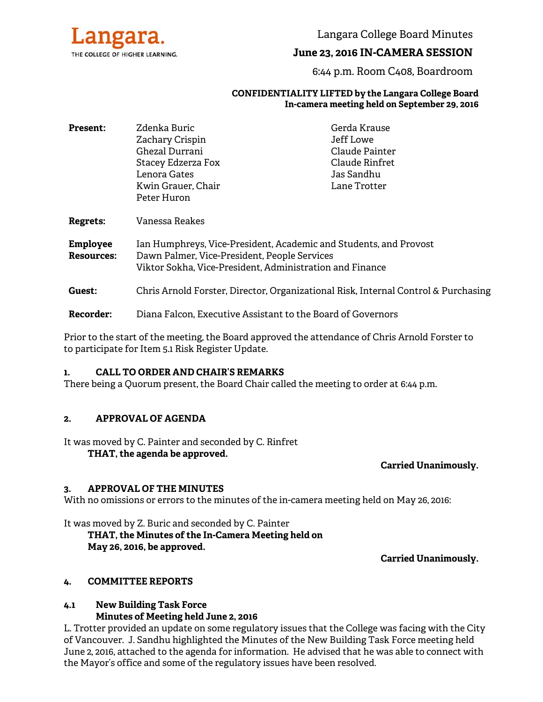

Langara College Board Minutes

# **June 23, 2016 IN-CAMERA SESSION**

6:44 p.m. Room C408, Boardroom

#### **CONFIDENTIALITY LIFTED by the Langara College Board In-camera meeting held on September 29, 2016**

| <b>Present:</b>                      | Zdenka Buric                                                                                                                                                                  | Gerda Krause   |  |
|--------------------------------------|-------------------------------------------------------------------------------------------------------------------------------------------------------------------------------|----------------|--|
|                                      | Zachary Crispin                                                                                                                                                               | Jeff Lowe      |  |
|                                      | Ghezal Durrani                                                                                                                                                                | Claude Painter |  |
|                                      | Stacey Edzerza Fox                                                                                                                                                            | Claude Rinfret |  |
|                                      | Lenora Gates                                                                                                                                                                  | Jas Sandhu     |  |
|                                      | Kwin Grauer, Chair                                                                                                                                                            | Lane Trotter   |  |
|                                      | Peter Huron                                                                                                                                                                   |                |  |
| <b>Regrets:</b>                      | Vanessa Reakes                                                                                                                                                                |                |  |
| <b>Employee</b><br><b>Resources:</b> | Ian Humphreys, Vice-President, Academic and Students, and Provost<br>Dawn Palmer, Vice-President, People Services<br>Viktor Sokha, Vice-President, Administration and Finance |                |  |
| Guest:                               | Chris Arnold Forster, Director, Organizational Risk, Internal Control & Purchasing                                                                                            |                |  |
| <b>Recorder:</b>                     | Diana Falcon, Executive Assistant to the Board of Governors                                                                                                                   |                |  |

Prior to the start of the meeting, the Board approved the attendance of Chris Arnold Forster to to participate for Item 5.1 Risk Register Update.

#### **1. CALL TO ORDER AND CHAIR'S REMARKS**

There being a Quorum present, the Board Chair called the meeting to order at 6:44 p.m.

### **2. APPROVAL OF AGENDA**

It was moved by C. Painter and seconded by C. Rinfret

**THAT, the agenda be approved.** 

### **Carried Unanimously.**

### **3. APPROVAL OF THE MINUTES**

With no omissions or errors to the minutes of the in-camera meeting held on May 26, 2016:

It was moved by Z. Buric and seconded by C. Painter  **THAT, the Minutes of the In-Camera Meeting held on May 26, 2016, be approved.** 

### **Carried Unanimously.**

### **4. COMMITTEE REPORTS**

## **4.1 New Building Task Force Minutes of Meeting held June 2, 2016**

L. Trotter provided an update on some regulatory issues that the College was facing with the City of Vancouver. J. Sandhu highlighted the Minutes of the New Building Task Force meeting held June 2, 2016, attached to the agenda for information. He advised that he was able to connect with the Mayor's office and some of the regulatory issues have been resolved.